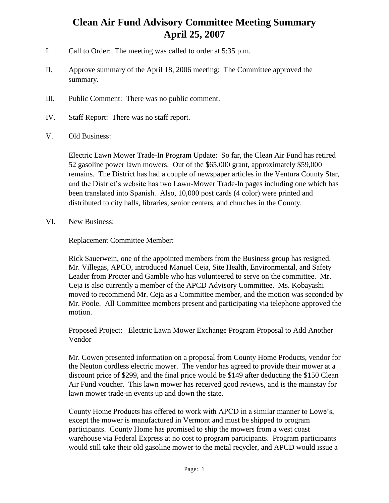## **Clean Air Fund Advisory Committee Meeting Summary April 25, 2007**

- I. Call to Order: The meeting was called to order at 5:35 p.m.
- II. Approve summary of the April 18, 2006 meeting: The Committee approved the summary.
- III. Public Comment: There was no public comment.
- IV. Staff Report: There was no staff report.
- V. Old Business:

Electric Lawn Mower Trade-In Program Update: So far, the Clean Air Fund has retired 52 gasoline power lawn mowers. Out of the \$65,000 grant, approximately \$59,000 remains. The District has had a couple of newspaper articles in the Ventura County Star, and the District's website has two Lawn-Mower Trade-In pages including one which has been translated into Spanish. Also, 10,000 post cards (4 color) were printed and distributed to city halls, libraries, senior centers, and churches in the County.

VI. New Business:

## Replacement Committee Member:

Rick Sauerwein, one of the appointed members from the Business group has resigned. Mr. Villegas, APCO, introduced Manuel Ceja, Site Health, Environmental, and Safety Leader from Procter and Gamble who has volunteered to serve on the committee. Mr. Ceja is also currently a member of the APCD Advisory Committee. Ms. Kobayashi moved to recommend Mr. Ceja as a Committee member, and the motion was seconded by Mr. Poole. All Committee members present and participating via telephone approved the motion.

## Proposed Project: Electric Lawn Mower Exchange Program Proposal to Add Another Vendor

Mr. Cowen presented information on a proposal from County Home Products, vendor for the Neuton cordless electric mower. The vendor has agreed to provide their mower at a discount price of \$299, and the final price would be \$149 after deducting the \$150 Clean Air Fund voucher. This lawn mower has received good reviews, and is the mainstay for lawn mower trade-in events up and down the state.

County Home Products has offered to work with APCD in a similar manner to Lowe's, except the mower is manufactured in Vermont and must be shipped to program participants. County Home has promised to ship the mowers from a west coast warehouse via Federal Express at no cost to program participants. Program participants would still take their old gasoline mower to the metal recycler, and APCD would issue a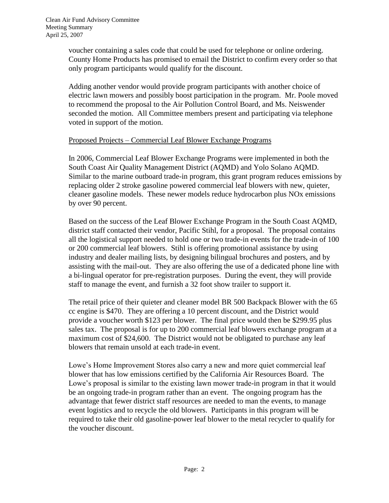voucher containing a sales code that could be used for telephone or online ordering. County Home Products has promised to email the District to confirm every order so that only program participants would qualify for the discount.

Adding another vendor would provide program participants with another choice of electric lawn mowers and possibly boost participation in the program. Mr. Poole moved to recommend the proposal to the Air Pollution Control Board, and Ms. Neiswender seconded the motion. All Committee members present and participating via telephone voted in support of the motion.

## Proposed Projects – Commercial Leaf Blower Exchange Programs

In 2006, Commercial Leaf Blower Exchange Programs were implemented in both the South Coast Air Quality Management District (AQMD) and Yolo Solano AQMD. Similar to the marine outboard trade-in program, this grant program reduces emissions by replacing older 2 stroke gasoline powered commercial leaf blowers with new, quieter, cleaner gasoline models. These newer models reduce hydrocarbon plus NOx emissions by over 90 percent.

Based on the success of the Leaf Blower Exchange Program in the South Coast AQMD, district staff contacted their vendor, Pacific Stihl, for a proposal. The proposal contains all the logistical support needed to hold one or two trade-in events for the trade-in of 100 or 200 commercial leaf blowers. Stihl is offering promotional assistance by using industry and dealer mailing lists, by designing bilingual brochures and posters, and by assisting with the mail-out. They are also offering the use of a dedicated phone line with a bi-lingual operator for pre-registration purposes. During the event, they will provide staff to manage the event, and furnish a 32 foot show trailer to support it.

The retail price of their quieter and cleaner model BR 500 Backpack Blower with the 65 cc engine is \$470. They are offering a 10 percent discount, and the District would provide a voucher worth \$123 per blower. The final price would then be \$299.95 plus sales tax. The proposal is for up to 200 commercial leaf blowers exchange program at a maximum cost of \$24,600. The District would not be obligated to purchase any leaf blowers that remain unsold at each trade-in event.

Lowe's Home Improvement Stores also carry a new and more quiet commercial leaf blower that has low emissions certified by the California Air Resources Board. The Lowe's proposal is similar to the existing lawn mower trade-in program in that it would be an ongoing trade-in program rather than an event. The ongoing program has the advantage that fewer district staff resources are needed to man the events, to manage event logistics and to recycle the old blowers. Participants in this program will be required to take their old gasoline-power leaf blower to the metal recycler to qualify for the voucher discount.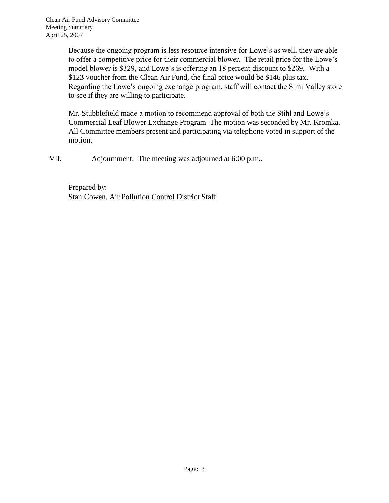Because the ongoing program is less resource intensive for Lowe's as well, they are able to offer a competitive price for their commercial blower. The retail price for the Lowe's model blower is \$329, and Lowe's is offering an 18 percent discount to \$269. With a \$123 voucher from the Clean Air Fund, the final price would be \$146 plus tax. Regarding the Lowe's ongoing exchange program, staff will contact the Simi Valley store to see if they are willing to participate.

Mr. Stubblefield made a motion to recommend approval of both the Stihl and Lowe's Commercial Leaf Blower Exchange Program The motion was seconded by Mr. Kromka. All Committee members present and participating via telephone voted in support of the motion.

VII. Adjournment: The meeting was adjourned at 6:00 p.m..

Prepared by: Stan Cowen, Air Pollution Control District Staff